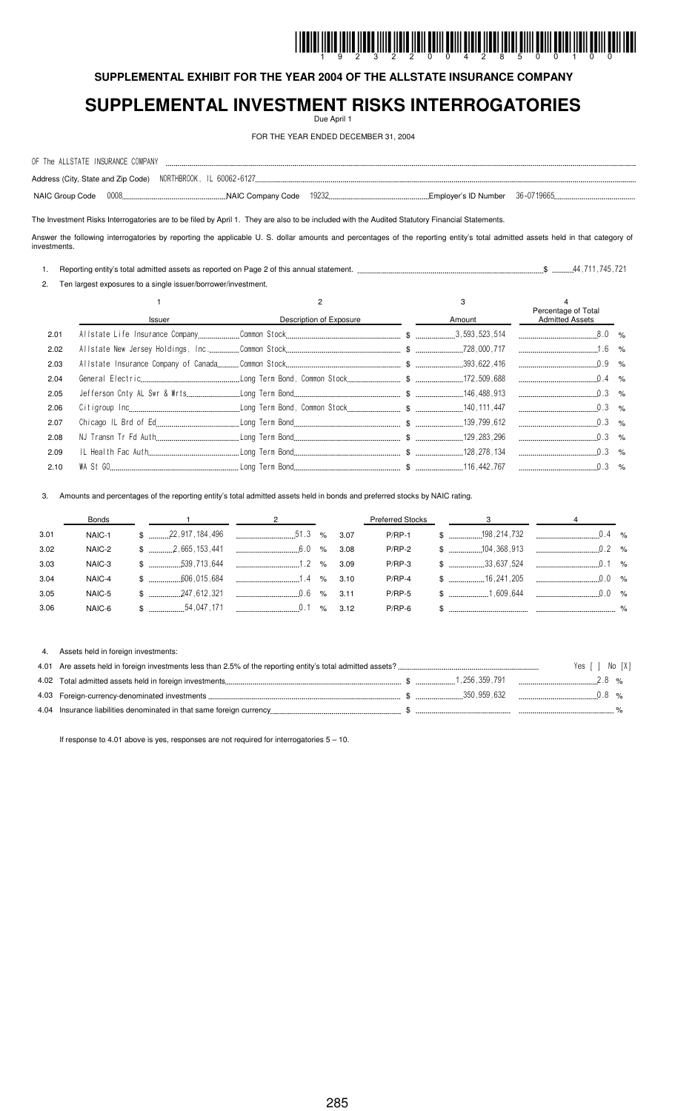# <u>I INDIRI İLDIR İZILDÜ İLDIR İLDIR İLDIL ÖRILI ÖLILI ÖLDIR İLDIR İLDIL ÖLILI ÖLILI ÖLDIL İLDIL ÖLILI YOLI IDDI</u>

**SUPPLEMENTAL EXHIBIT FOR THE YEAR 2004 OF THE ALLSTATE INSURANCE COMPANY**

## **SUPPLEMENTAL INVESTMENT RISKS INTERROGATORIES**

Due April 1

FOR THE YEAR ENDED DECEMBER 31, 2004

| OF The ALLSTATE INSURANCE COMPANY |  |  |  |
|-----------------------------------|--|--|--|
|                                   |  |  |  |
| NAIC Group Code 0008              |  |  |  |

The Investment Risks Interrogatories are to be filed by April 1. They are also to be included with the Audited Statutory Financial Statements.

Answer the following interrogatories by reporting the applicable U. S. dollar amounts and percentages of the reporting entity's total admitted assets held in that category of investments.

1. Reporting entity's total admitted assets as reported on Page 2 of this annual statement. \$ !!!

2. Ten largest exposures to a single issuer/borrower/investment.

|      | Issuer | Description of Exposure | Amount | Percentage of Total<br><b>Admitted Assets</b> |  |
|------|--------|-------------------------|--------|-----------------------------------------------|--|
| 2.01 |        |                         |        |                                               |  |
| 2.02 |        |                         |        |                                               |  |
| 2.03 |        |                         |        |                                               |  |
| 2.04 |        |                         |        |                                               |  |
| 2.05 |        |                         |        |                                               |  |
| 2.06 |        |                         |        |                                               |  |
| 2.07 |        |                         |        |                                               |  |
| 2.08 |        |                         |        |                                               |  |
| 2.09 |        |                         |        |                                               |  |
| 2.10 |        |                         |        |                                               |  |

Amounts and percentages of the reporting entity's total admitted assets held in bonds and preferred stocks by NAIC rating.

|      | Bonds  |                                                                                                                                                                                                                                                                                                                     |  |          | Preferred Stocks 3 4 4 |                                                         |  |
|------|--------|---------------------------------------------------------------------------------------------------------------------------------------------------------------------------------------------------------------------------------------------------------------------------------------------------------------------|--|----------|------------------------|---------------------------------------------------------|--|
| 3.01 | NAIC-1 | $\frac{1}{2}$ $\frac{1}{22}$ , 917, 184, 496 $\frac{1}{2}$ $\frac{1}{2}$ $\frac{1}{2}$ $\frac{1}{2}$ $\frac{1}{2}$ $\frac{1}{2}$ $\frac{1}{2}$ $\frac{1}{2}$ $\frac{1}{2}$ $\frac{1}{2}$ $\frac{1}{2}$ $\frac{1}{2}$ $\frac{1}{2}$ $\frac{1}{2}$ $\frac{1}{2}$ $\frac{1}{2}$ $\frac{1}{2}$ $\frac{1}{2}$ $\frac{1$  |  |          |                        |                                                         |  |
| 3.02 | NAIC-2 |                                                                                                                                                                                                                                                                                                                     |  |          |                        |                                                         |  |
| 3.03 | NAIC-3 | $\frac{1}{2}$ $\frac{1}{2}$ $\frac{1}{2}$ $\frac{1}{2}$ $\frac{1}{2}$ $\frac{1}{2}$ $\frac{1}{2}$ $\frac{1}{2}$ $\frac{1}{2}$ $\frac{1}{2}$ $\frac{1}{2}$ $\frac{1}{2}$ $\frac{1}{2}$ $\frac{1}{2}$ $\frac{1}{2}$ $\frac{1}{2}$ $\frac{1}{2}$ $\frac{1}{2}$ $\frac{1}{2}$ $\frac{1}{2}$ $\frac{1}{2}$ $\frac{1}{2}$ |  | $P/RP-3$ |                        | $$$ $\ldots$ 33,637,524 $\ldots$ 0.1 %                  |  |
| 3.04 | NAIC-4 | $\frac{1}{2}$ $\frac{1}{2}$ $\frac{1}{2}$ $\frac{1}{2}$ $\frac{1}{2}$ $\frac{1}{2}$ $\frac{1}{2}$ $\frac{1}{2}$ $\frac{1}{2}$ $\frac{1}{2}$ $\frac{1}{2}$ $\frac{1}{2}$ $\frac{1}{2}$ $\frac{1}{2}$ $\frac{1}{2}$ $\frac{1}{2}$ $\frac{1}{2}$ $\frac{1}{2}$ $\frac{1}{2}$ $\frac{1}{2}$ $\frac{1}{2}$ $\frac{1}{2}$ |  |          |                        | $P/RP-4$ \$ $\ldots$ 16.241.205 $\ldots$ $\ldots$ 0.0 % |  |
| 3.05 | NAIC-5 | $$$ $3.11$                                                                                                                                                                                                                                                                                                          |  | P/RP-5   |                        |                                                         |  |
| 3.06 |        | NAIC-6 \$ ________________54,047,171 ________________________0.1 % 3.12                                                                                                                                                                                                                                             |  |          |                        |                                                         |  |

4. Assets held in foreign investments: 4.01 Are assets held in foreign investments less than 2.5% of the reporting entity's total admitted assets? # 9 : , 9;: 4.02 Total admitted assets held in foreign investments \$ 1 % 4.03 Foreign-currency-denominated investments \$ 1 % 4.04 Insurance liabilities denominated in that same foreign currency \$ %

If response to 4.01 above is yes, responses are not required for interrogatories  $5 - 10$ .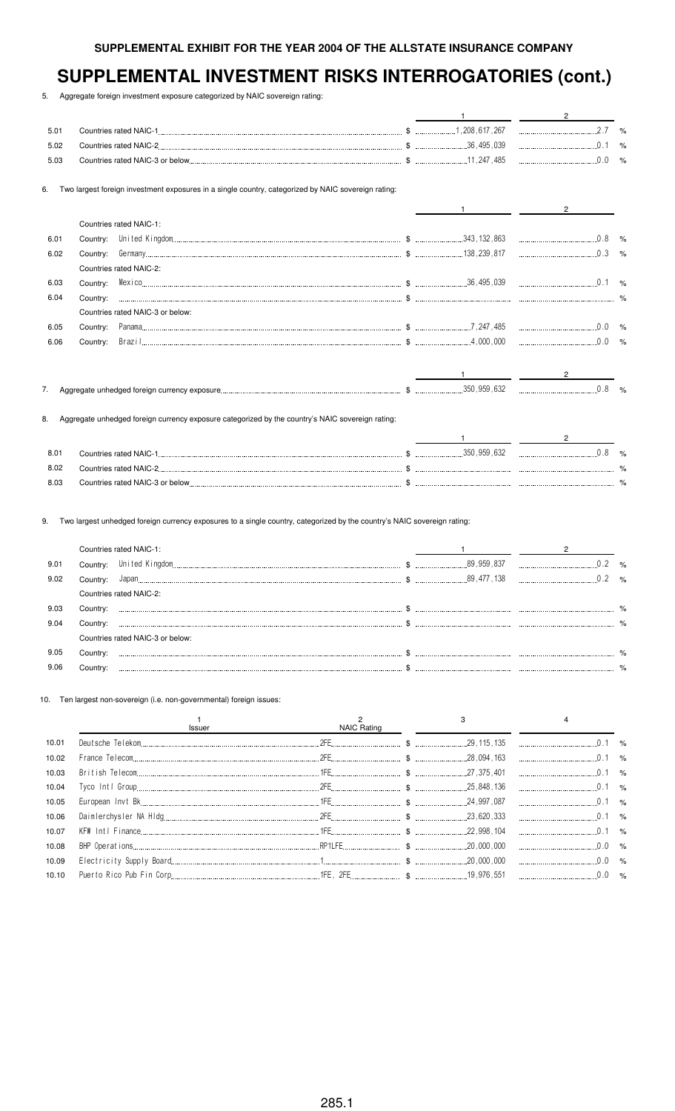5. Aggregate foreign investment exposure categorized by NAIC sovereign rating:

| 5.01 |          |                                                                                                     |  |  |
|------|----------|-----------------------------------------------------------------------------------------------------|--|--|
| 5.02 |          |                                                                                                     |  |  |
| 5.03 |          |                                                                                                     |  |  |
| 6.   |          | Two largest foreign investment exposures in a single country, categorized by NAIC sovereign rating: |  |  |
|      |          |                                                                                                     |  |  |
|      |          | Countries rated NAIC-1:                                                                             |  |  |
| 6.01 | Country: |                                                                                                     |  |  |
| 6.02 | Country: |                                                                                                     |  |  |
|      |          | Countries rated NAIC-2:                                                                             |  |  |
| 6.03 | Country: |                                                                                                     |  |  |
| 6.04 | Country: |                                                                                                     |  |  |
|      |          | Countries rated NAIC-3 or below:                                                                    |  |  |
| 6.05 | Country: |                                                                                                     |  |  |
| 6.06 | Country: |                                                                                                     |  |  |
|      |          |                                                                                                     |  |  |
| 7.   |          |                                                                                                     |  |  |
| 8.   |          | Aggregate unhedged foreign currency exposure categorized by the country's NAIC sovereign rating:    |  |  |

| 8.0  | <b>Countries rated NAIC-1</b>    | .350.959.632 | %             |
|------|----------------------------------|--------------|---------------|
| 8.02 | Countries rated NAIC-2.          |              | $\frac{9}{6}$ |
| 8.03 | Countries rated NAIC-3 or below. |              | O/            |

9. Two largest unhedged foreign currency exposures to a single country, categorized by the country's NAIC sovereign rating:

|      |          | Countries rated NAIC-1:          |             |               |
|------|----------|----------------------------------|-------------|---------------|
| 9.01 | Country: |                                  | 89,959,837  | $\frac{1}{2}$ |
| 9.02 | Country: |                                  | .89,477,138 | $\frac{1}{2}$ |
|      |          | Countries rated NAIC-2:          |             |               |
| 9.03 | Country: |                                  |             | %             |
| 9.04 | Country: |                                  |             | %             |
|      |          | Countries rated NAIC-3 or below: |             |               |
| 9.05 | Countrv: |                                  |             |               |
| 9.06 |          |                                  |             |               |

10. Ten largest non-sovereign (i.e. non-governmental) foreign issues:

|       | Issuer | NAIC Rating |  |  |
|-------|--------|-------------|--|--|
| 10.01 |        |             |  |  |
| 10.02 |        |             |  |  |
| 10.03 |        |             |  |  |
| 10.04 |        |             |  |  |
| 10.05 |        |             |  |  |
| 10.06 |        |             |  |  |
| 10.07 |        |             |  |  |
| 10.08 |        |             |  |  |
| 10.09 |        |             |  |  |
|       |        |             |  |  |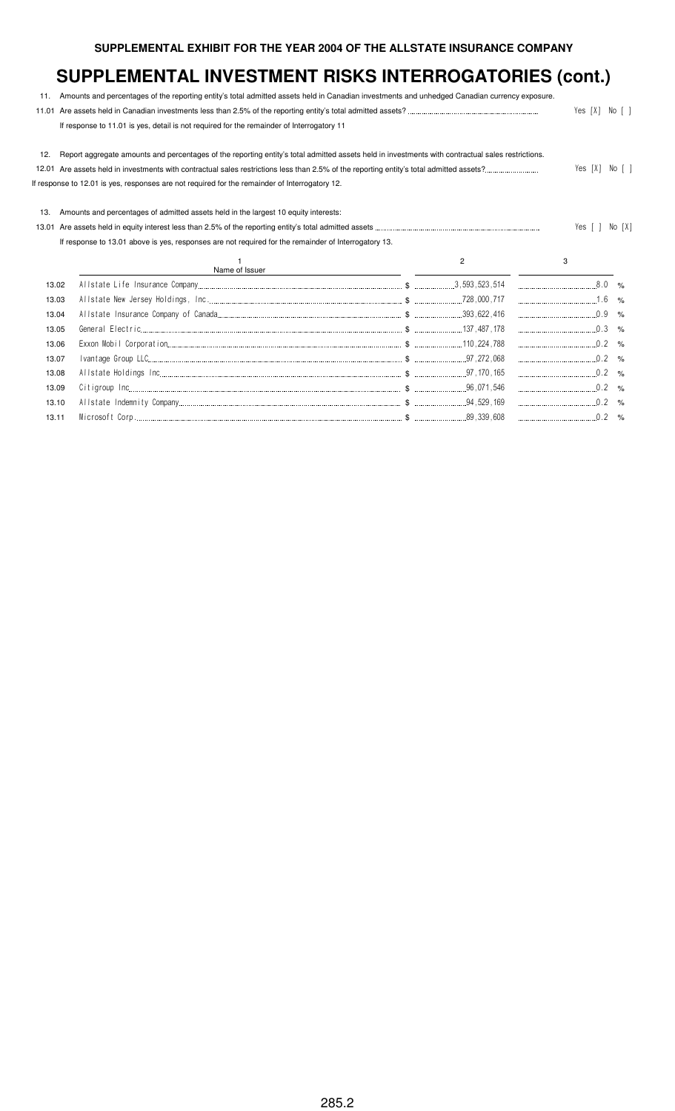| 11.   | Amounts and percentages of the reporting entity's total admitted assets held in Canadian investments and unhedged Canadian currency exposure.     |                |                |                 |
|-------|---------------------------------------------------------------------------------------------------------------------------------------------------|----------------|----------------|-----------------|
|       |                                                                                                                                                   |                | Yes [X]        | $No \mid \cdot$ |
|       | If response to 11.01 is yes, detail is not required for the remainder of Interrogatory 11                                                         |                |                |                 |
| 12.   | Report aggregate amounts and percentages of the reporting entity's total admitted assets held in investments with contractual sales restrictions. |                |                |                 |
|       |                                                                                                                                                   |                | Yes [X] No [ ] |                 |
|       | If response to 12.01 is yes, responses are not required for the remainder of Interrogatory 12.                                                    |                |                |                 |
| 13.   | Amounts and percentages of admitted assets held in the largest 10 equity interests:                                                               |                |                |                 |
| 13.01 |                                                                                                                                                   |                | Yes [ ]        | No [X]          |
|       | If response to 13.01 above is yes, responses are not required for the remainder of Interrogatory 13.                                              |                |                |                 |
|       | Name of Issuer                                                                                                                                    | $\overline{c}$ | 3              |                 |
| 13.02 |                                                                                                                                                   |                |                |                 |
| 13.03 |                                                                                                                                                   |                |                |                 |
| 13.04 |                                                                                                                                                   |                |                |                 |
| 13.05 |                                                                                                                                                   |                |                |                 |
| 13.06 |                                                                                                                                                   |                |                |                 |
| 13.07 |                                                                                                                                                   |                |                |                 |
| 13.08 |                                                                                                                                                   |                | $0.2$ %        |                 |
| 13.09 |                                                                                                                                                   |                |                |                 |
| 13.10 |                                                                                                                                                   |                | $\ldots$ 0.2 % |                 |
| 13.11 |                                                                                                                                                   |                |                |                 |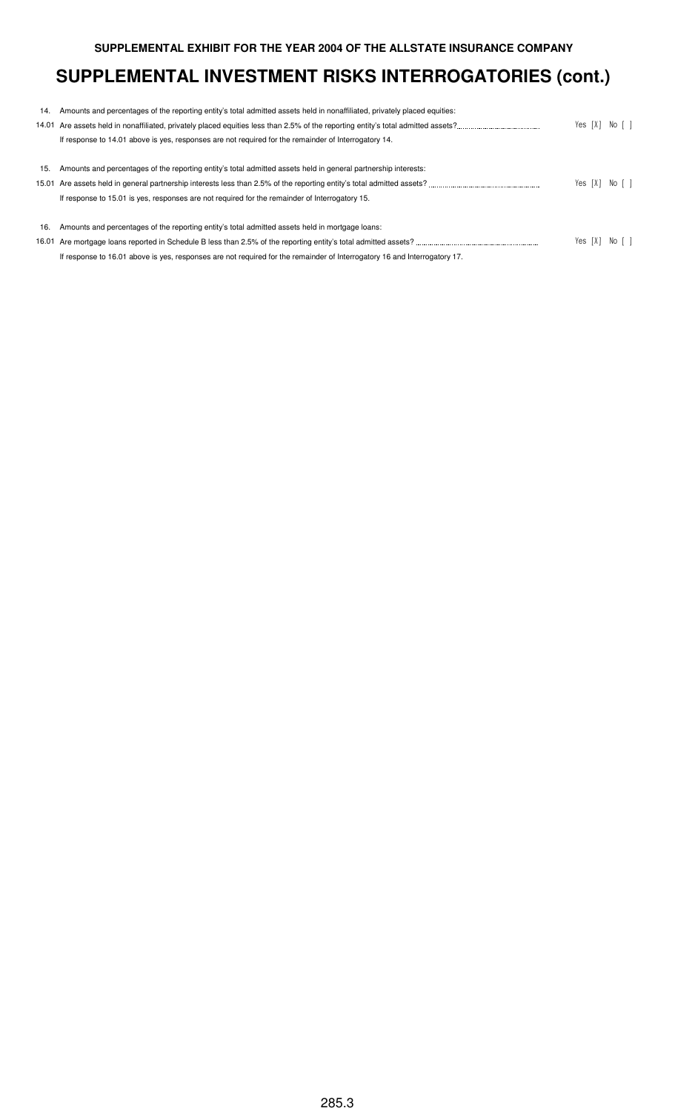| 14. | Amounts and percentages of the reporting entity's total admitted assets held in nonaffiliated, privately placed equities: |  |                |
|-----|---------------------------------------------------------------------------------------------------------------------------|--|----------------|
|     |                                                                                                                           |  | Yes [X] No [ ] |
|     | If response to 14.01 above is yes, responses are not required for the remainder of Interrogatory 14.                      |  |                |
|     |                                                                                                                           |  |                |
| 15. | Amounts and percentages of the reporting entity's total admitted assets held in general partnership interests:            |  |                |
|     | 15.01 Are assets held in general partnership interests less than 2.5% of the reporting entity's total admitted assets?    |  | Yes [X] No [ ] |
|     | If response to 15.01 is yes, responses are not required for the remainder of Interrogatory 15.                            |  |                |
|     |                                                                                                                           |  |                |
| 16. | Amounts and percentages of the reporting entity's total admitted assets held in mortgage loans:                           |  |                |
|     |                                                                                                                           |  | Yes [X] No [ ] |
|     | If response to 16.01 above is yes, responses are not required for the remainder of Interrogatory 16 and Interrogatory 17. |  |                |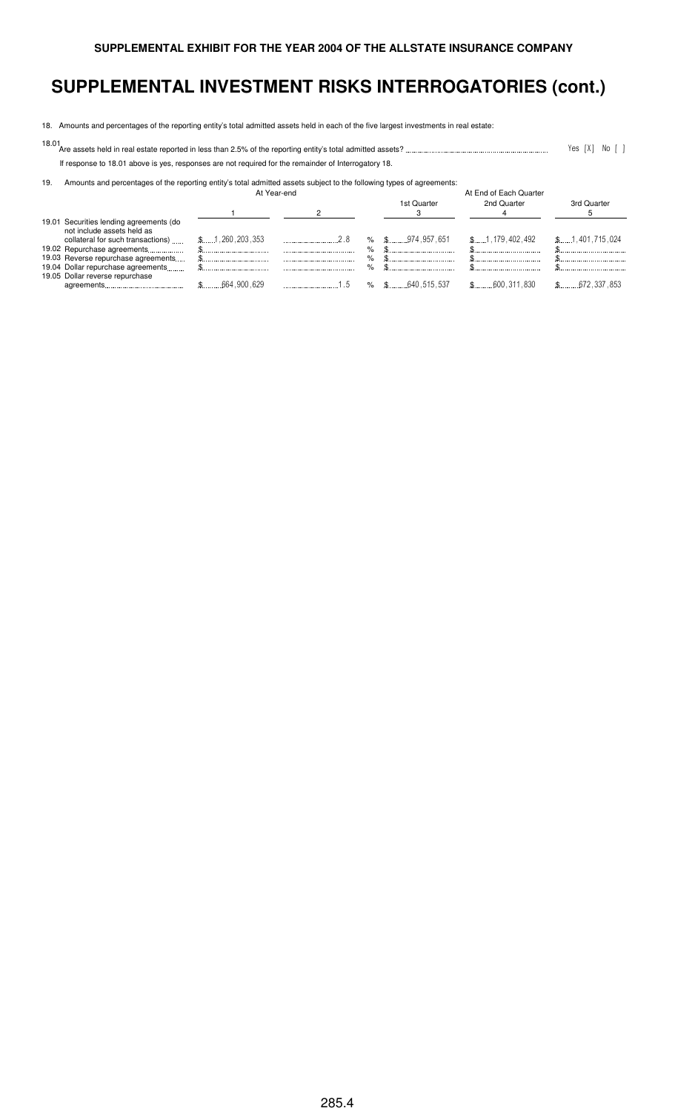18. Amounts and percentages of the reporting entity's total admitted assets held in each of the five largest investments in real estate:

18.01 Are assets held in real estate reported in less than 2.5% of the reporting entity's total admitted assets? # 9;: , 9 :

If response to 18.01 above is yes, responses are not required for the remainder of Interrogatory 18.

19. Amounts and percentages of the reporting entity's total admitted assets subject to the following types of agreements:

|                                                                                                            | At Year-end     |     |        |                     | At End of Each Quarter |                         |
|------------------------------------------------------------------------------------------------------------|-----------------|-----|--------|---------------------|------------------------|-------------------------|
|                                                                                                            |                 |     |        | 1st Quarter         | 2nd Quarter            | 3rd Quarter             |
| 19.01 Securities lending agreements (do<br>not include assets held as<br>collateral for such transactions) | \$1,260,203,353 |     |        | $\%$ \$ 974,957,651 | \$1,179,402,492        | \$1,401,715,024         |
| 19.02 Repurchase agreements<br>19.03 Reverse repurchase agreements                                         |                 |     | %<br>% |                     |                        |                         |
| 19.04 Dollar repurchase agreements<br>19.05 Dollar reverse repurchase                                      |                 |     | %      |                     |                        |                         |
|                                                                                                            |                 | 1.5 |        | $\%$ \$ 640.515.537 | $$$ 600,311,830        | $\text{\$}$ 672,337,853 |